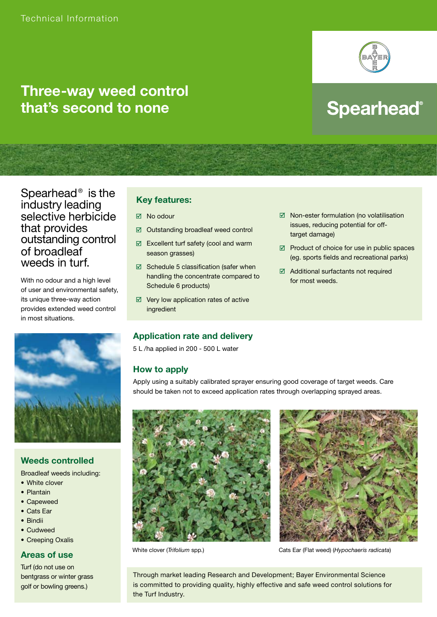

# **Three-way weed control that's second to none**

# **Spearhead®**

# Spearhead® is the industry leading selective herbicide that provides outstanding control of broadleaf weeds in turf.

With no odour and a high level of user and environmental safety, its unique three-way action provides extended weed control in most situations.



## **Weeds controlled**

Broadleaf weeds including:

- White clover
- Plantain
- Capeweed
- Cats Ear
- Bindii
- Cudweed
- Creeping Oxalis

#### **Areas of use**

Turf (do not use on bentgrass or winter grass golf or bowling greens.)

# **Key features:**

- $\boxtimes$  No odour
- Outstanding broadleaf weed control
- Excellent turf safety (cool and warm season grasses)
- $\boxtimes$  Schedule 5 classification (safer when handling the concentrate compared to Schedule 6 products)
- $\boxtimes$  Very low application rates of active ingredient

#### $\boxtimes$  Non-ester formulation (no volatilisation issues, reducing potential for offtarget damage)

- $\boxtimes$  Product of choice for use in public spaces (eg. sports fields and recreational parks)
- Additional surfactants not required for most weeds.

## **Application rate and delivery**

5 L /ha applied in 200 - 500 L water

## **How to apply**

Apply using a suitably calibrated sprayer ensuring good coverage of target weeds. Care should be taken not to exceed application rates through overlapping sprayed areas.





White clover (*Trifolium* spp.) Cats Ear (Flat weed) (*Hypochaeris radicata*)

Through market leading Research and Development; Bayer Environmental Science is committed to providing quality, highly effective and safe weed control solutions for the Turf Industry.